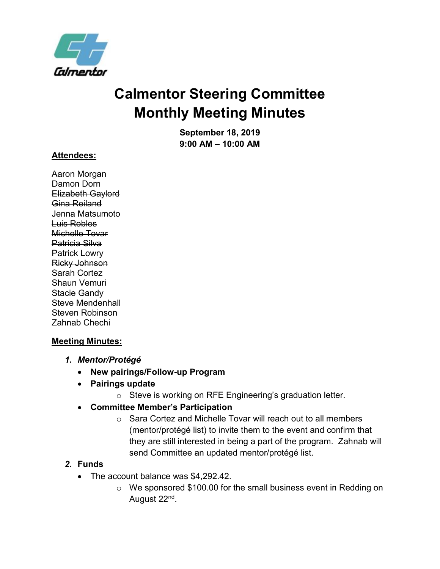

# **Calmentor Steering Committee Monthly Meeting Minutes**

**September 18, 2019 9:00 AM – 10:00 AM**

#### **Attendees:**

Aaron Morgan Damon Dorn Elizabeth Gaylord Gina Reiland Jenna Matsumoto Luis Robles Michelle Tovar Patricia Silva Patrick Lowry Ricky Johnson Sarah Cortez Shaun Vemuri Stacie Gandy Steve Mendenhall Steven Robinson Zahnab Chechi

#### **Meeting Minutes:**

- *1. Mentor/Protégé*
	- **New pairings/Follow-up Program**
	- **Pairings update**
		- o Steve is working on RFE Engineering's graduation letter.
	- **Committee Member's Participation**
		- o Sara Cortez and Michelle Tovar will reach out to all members (mentor/protégé list) to invite them to the event and confirm that they are still interested in being a part of the program. Zahnab will send Committee an updated mentor/protégé list.

#### *2.* **Funds**

- The account balance was \$4,292,42.
	- o We sponsored \$100.00 for the small business event in Redding on August 22<sup>nd</sup>.